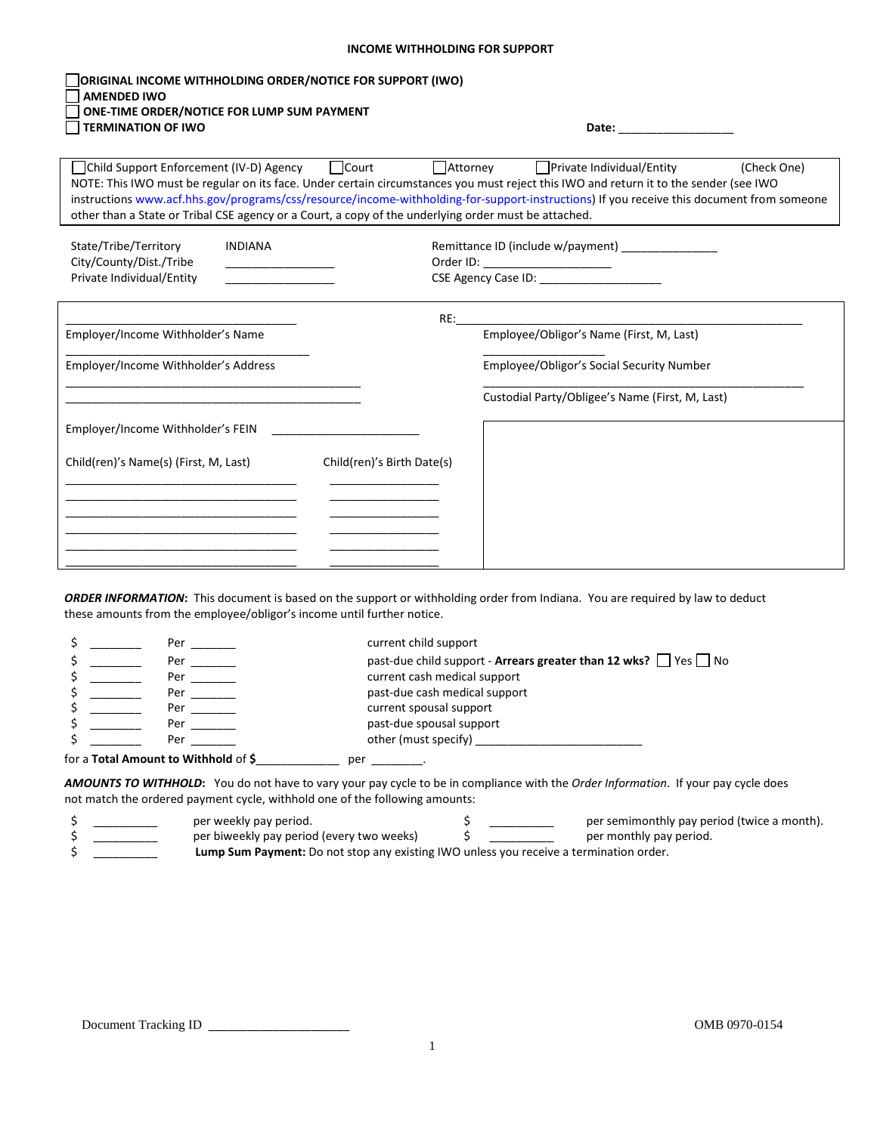## **INCOME WITHHOLDING FOR SUPPORT**

| <b>AMENDED IWO</b>                                                            | <b>ORIGINAL INCOME WITHHOLDING ORDER/NOTICE FOR SUPPORT (IWO)</b>                                                    |                            |                                                                                                                                                                                                                                                                                                                           |             |
|-------------------------------------------------------------------------------|----------------------------------------------------------------------------------------------------------------------|----------------------------|---------------------------------------------------------------------------------------------------------------------------------------------------------------------------------------------------------------------------------------------------------------------------------------------------------------------------|-------------|
| <b>TERMINATION OF IWO</b>                                                     | ONE-TIME ORDER/NOTICE FOR LUMP SUM PAYMENT                                                                           |                            | Date: the contract of the contract of the contract of the contract of the contract of the contract of the contract of the contract of the contract of the contract of the contract of the contract of the contract of the cont                                                                                            |             |
| Child Support Enforcement (IV-D) Agency                                       | $\Box$ Court<br>other than a State or Tribal CSE agency or a Court, a copy of the underlying order must be attached. | Attorney                   | $\vert$   Private Individual/Entity<br>NOTE: This IWO must be regular on its face. Under certain circumstances you must reject this IWO and return it to the sender (see IWO<br>instructions www.acf.hhs.gov/programs/css/resource/income-withholding-for-support-instructions) If you receive this document from someone | (Check One) |
| State/Tribe/Territory<br>City/County/Dist./Tribe<br>Private Individual/Entity | <b>INDIANA</b>                                                                                                       |                            | Remittance ID (include w/payment)<br>Order ID: _____________________<br>CSE Agency Case ID: _____________________                                                                                                                                                                                                         |             |
| Employer/Income Withholder's Name<br>Employer/Income Withholder's Address     |                                                                                                                      | RE:                        | Employee/Obligor's Name (First, M, Last)<br>Employee/Obligor's Social Security Number                                                                                                                                                                                                                                     |             |
| Employer/Income Withholder's FEIN<br>Child(ren)'s Name(s) (First, M, Last)    |                                                                                                                      | Child(ren)'s Birth Date(s) | Custodial Party/Obligee's Name (First, M, Last)                                                                                                                                                                                                                                                                           |             |
|                                                                               |                                                                                                                      |                            |                                                                                                                                                                                                                                                                                                                           |             |

*ORDER INFORMATION***:** This document is based on the support or withholding order from Indiana. You are required by law to deduct these amounts from the employee/obligor's income until further notice.

| Per                                  | current child support                                                      |
|--------------------------------------|----------------------------------------------------------------------------|
| Per                                  | past-due child support - Arrears greater than 12 wks? $\Box$ Yes $\Box$ No |
| Per                                  | current cash medical support                                               |
| Per                                  | past-due cash medical support                                              |
| Per                                  | current spousal support                                                    |
| Per                                  | past-due spousal support                                                   |
| Per                                  | other (must specify)                                                       |
| for a Total Amount to Withhold of \$ | per                                                                        |

*AMOUNTS TO WITHHOLD***:** You do not have to vary your pay cycle to be in compliance with the *Order Information*. If your pay cycle does not match the ordered payment cycle, withhold one of the following amounts:

| per weekly pay period.                                                                 | per semimonthly pay period (twice a month). |
|----------------------------------------------------------------------------------------|---------------------------------------------|
| per biweekly pay period (every two weeks)                                              | per monthly pay period.                     |
| Lump Sum Payment: Do not stop any existing IWO unless you receive a termination order. |                                             |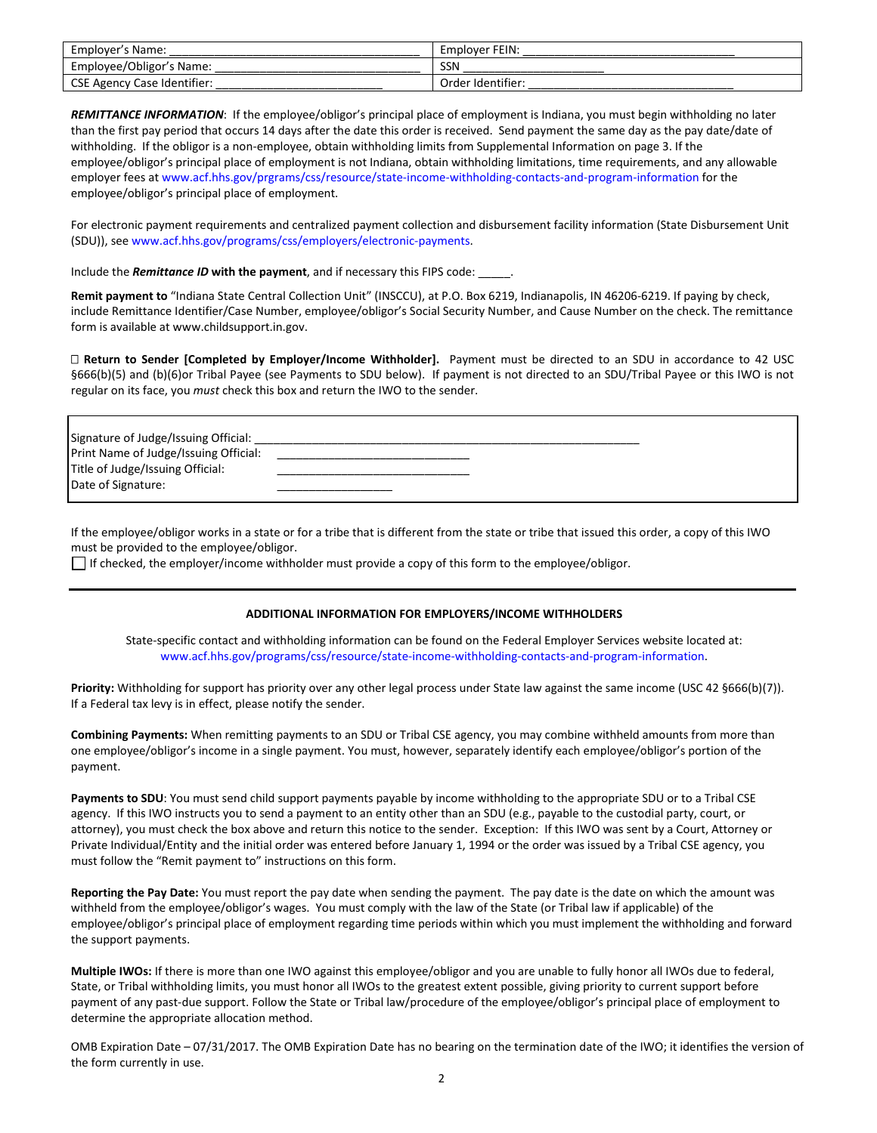| Employer's<br>: Name               | FEIN.<br>Emplover      |
|------------------------------------|------------------------|
| Employee/Obligor's<br>'s Name:     | SSN                    |
| <b>CSE Agency Case Identifier:</b> | · Identifier:<br>Order |

*REMITTANCE INFORMATION*: If the employee/obligor's principal place of employment is Indiana, you must begin withholding no later than the first pay period that occurs 14 days after the date this order is received. Send payment the same day as the pay date/date of withholding. If the obligor is a non-employee, obtain withholding limits from Supplemental Information on page 3. If the employee/obligor's principal place of employment is not Indiana, obtain withholding limitations, time requirements, and any allowable employer fees a[t www.acf.hhs.gov/prgrams/css/resource/state-income-withholding-contacts-and-program-information](http://www.acf.hhs.gov/prgrams/css/resource/state-income-withholding-contacts-and-program-information) for the employee/obligor's principal place of employment.

For electronic payment requirements and centralized payment collection and disbursement facility information (State Disbursement Unit (SDU)), see [www.acf.hhs.gov/programs/css/employers/electronic-payments.](http://www.acf.hhs.gov/programs/css/employers/electronic-payments)

Include the *Remittance ID* **with the payment**, and if necessary this FIPS code: \_\_\_\_\_.

**Remit payment to** "Indiana State Central Collection Unit" (INSCCU), at P.O. Box 6219, Indianapolis, IN 46206-6219. If paying by check, include Remittance Identifier/Case Number, employee/obligor's Social Security Number, and Cause Number on the check. The remittance form is available at [www.childsupport.in.gov.](http://www.childsupport.in.gov/) 

 **Return to Sender [Completed by Employer/Income Withholder].** Payment must be directed to an SDU in accordance to 42 USC §666(b)(5) and (b)(6)or Tribal Payee (see Payments to SDU below). If payment is not directed to an SDU/Tribal Payee or this IWO is not regular on its face, you *must* check this box and return the IWO to the sender.

| Signature of Judge/Issuing Official:  |  |
|---------------------------------------|--|
| Print Name of Judge/Issuing Official: |  |
| Title of Judge/Issuing Official:      |  |
| Date of Signature:                    |  |

If the employee/obligor works in a state or for a tribe that is different from the state or tribe that issued this order, a copy of this IWO must be provided to the employee/obligor.

If checked, the employer/income withholder must provide a copy of this form to the employee/obligor.

## **ADDITIONAL INFORMATION FOR EMPLOYERS/INCOME WITHHOLDERS**

State-specific contact and withholding information can be found on the Federal Employer Services website located at: [www.acf.hhs.gov/programs/css/resource/state-income-withholding-contacts-and-program-information.](http://www.acf.hhs.gov/programs/css/resource/state-income-withholding-contacts-and-program-information)

**Priority:** Withholding for support has priority over any other legal process under State law against the same income (USC 42 §666(b)(7)). If a Federal tax levy is in effect, please notify the sender.

**Combining Payments:** When remitting payments to an SDU or Tribal CSE agency, you may combine withheld amounts from more than one employee/obligor's income in a single payment. You must, however, separately identify each employee/obligor's portion of the payment.

Payments to SDU: You must send child support payments payable by income withholding to the appropriate SDU or to a Tribal CSE agency. If this IWO instructs you to send a payment to an entity other than an SDU (e.g., payable to the custodial party, court, or attorney), you must check the box above and return this notice to the sender. Exception: If this IWO was sent by a Court, Attorney or Private Individual/Entity and the initial order was entered before January 1, 1994 or the order was issued by a Tribal CSE agency, you must follow the "Remit payment to" instructions on this form.

**Reporting the Pay Date:** You must report the pay date when sending the payment. The pay date is the date on which the amount was withheld from the employee/obligor's wages. You must comply with the law of the State (or Tribal law if applicable) of the employee/obligor's principal place of employment regarding time periods within which you must implement the withholding and forward the support payments.

**Multiple IWOs:** If there is more than one IWO against this employee/obligor and you are unable to fully honor all IWOs due to federal, State, or Tribal withholding limits, you must honor all IWOs to the greatest extent possible, giving priority to current support before payment of any past-due support. Follow the State or Tribal law/procedure of the employee/obligor's principal place of employment to determine the appropriate allocation method.

OMB Expiration Date – 07/31/2017. The OMB Expiration Date has no bearing on the termination date of the IWO; it identifies the version of the form currently in use.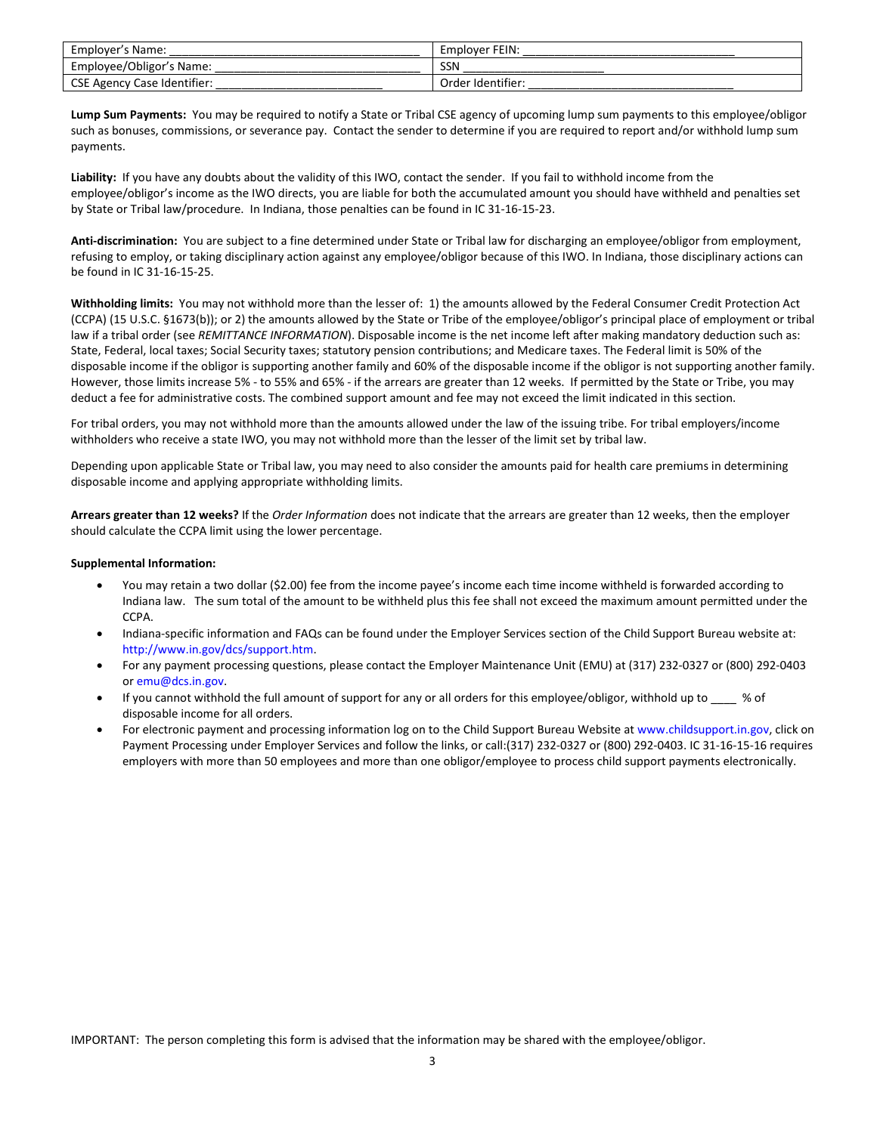| Emplovei<br>Name:                           | FEIN.<br>$\sim$ 110 $0v^{\alpha r}$ |
|---------------------------------------------|-------------------------------------|
| <u>—</u><br>Fmnlovee/(<br>Name.<br>. Obliec | $\sim$<br>SSM                       |
| CSE<br>: Identifier:<br>Case<br>Agency<br>. | . )rder<br>lentifier:<br>٦٢         |

**Lump Sum Payments:** You may be required to notify a State or Tribal CSE agency of upcoming lump sum payments to this employee/obligor such as bonuses, commissions, or severance pay. Contact the sender to determine if you are required to report and/or withhold lump sum payments.

**Liability:** If you have any doubts about the validity of this IWO, contact the sender. If you fail to withhold income from the employee/obligor's income as the IWO directs, you are liable for both the accumulated amount you should have withheld and penalties set by State or Tribal law/procedure. In Indiana, those penalties can be found in IC 31-16-15-23.

**Anti-discrimination:** You are subject to a fine determined under State or Tribal law for discharging an employee/obligor from employment, refusing to employ, or taking disciplinary action against any employee/obligor because of this IWO. In Indiana, those disciplinary actions can be found in IC 31-16-15-25.

**Withholding limits:** You may not withhold more than the lesser of: 1) the amounts allowed by the Federal Consumer Credit Protection Act (CCPA) (15 U.S.C. §1673(b)); or 2) the amounts allowed by the State or Tribe of the employee/obligor's principal place of employment or tribal law if a tribal order (see *REMITTANCE INFORMATION*). Disposable income is the net income left after making mandatory deduction such as: State, Federal, local taxes; Social Security taxes; statutory pension contributions; and Medicare taxes. The Federal limit is 50% of the disposable income if the obligor is supporting another family and 60% of the disposable income if the obligor is not supporting another family. However, those limits increase 5% - to 55% and 65% - if the arrears are greater than 12 weeks. If permitted by the State or Tribe, you may deduct a fee for administrative costs. The combined support amount and fee may not exceed the limit indicated in this section.

For tribal orders, you may not withhold more than the amounts allowed under the law of the issuing tribe. For tribal employers/income withholders who receive a state IWO, you may not withhold more than the lesser of the limit set by tribal law.

Depending upon applicable State or Tribal law, you may need to also consider the amounts paid for health care premiums in determining disposable income and applying appropriate withholding limits.

**Arrears greater than 12 weeks?** If the *Order Information* does not indicate that the arrears are greater than 12 weeks, then the employer should calculate the CCPA limit using the lower percentage.

## **Supplemental Information:**

- You may retain a two dollar (\$2.00) fee from the income payee's income each time income withheld is forwarded according to Indiana law. The sum total of the amount to be withheld plus this fee shall not exceed the maximum amount permitted under the CCPA.
- Indiana-specific information and FAQs can be found under the Employer Services section of the Child Support Bureau website at: [http://www.in.gov/dcs/support.htm.](http://www.in.gov/dcs/support.htm)
- For any payment processing questions, please contact the Employer Maintenance Unit (EMU) at (317) 232-0327 or (800) 292-0403 or [emu@dcs.in.gov.](mailto:emu@dcs.in.gov)
- If you cannot withhold the full amount of support for any or all orders for this employee/obligor, withhold up to  $\frac{1}{2}$  % of disposable income for all orders.
- For electronic payment and processing information log on to the Child Support Bureau Website at [www.childsupport.in.gov,](http://www.childsupport.in.gov/) click on Payment Processing under Employer Services and follow the links, or call:(317) 232-0327 or (800) 292-0403. IC 31-16-15-16 requires employers with more than 50 employees and more than one obligor/employee to process child support payments electronically.

IMPORTANT: The person completing this form is advised that the information may be shared with the employee/obligor.